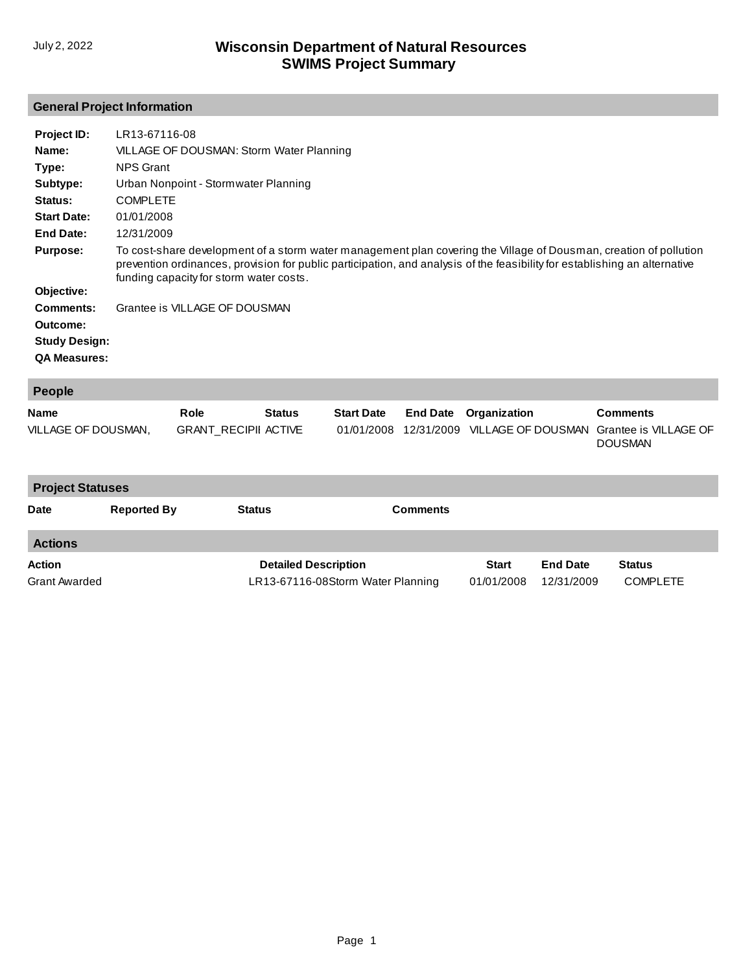## **General Project Information**

| Project ID:          | LR13-67116-08                                                                                                                                                                                                                                                                              |
|----------------------|--------------------------------------------------------------------------------------------------------------------------------------------------------------------------------------------------------------------------------------------------------------------------------------------|
| Name:                | VILLAGE OF DOUSMAN: Storm Water Planning                                                                                                                                                                                                                                                   |
| Type:                | NPS Grant                                                                                                                                                                                                                                                                                  |
| Subtype:             | Urban Nonpoint - Stormwater Planning                                                                                                                                                                                                                                                       |
| Status:              | <b>COMPLETE</b>                                                                                                                                                                                                                                                                            |
| <b>Start Date:</b>   | 01/01/2008                                                                                                                                                                                                                                                                                 |
| End Date:            | 12/31/2009                                                                                                                                                                                                                                                                                 |
| <b>Purpose:</b>      | To cost-share development of a storm water management plan covering the Village of Dousman, creation of pollution<br>prevention ordinances, provision for public participation, and analysis of the feasibility for establishing an alternative<br>funding capacity for storm water costs. |
| Objective:           |                                                                                                                                                                                                                                                                                            |
| Comments:            | Grantee is VILLAGE OF DOUSMAN                                                                                                                                                                                                                                                              |
| Outcome:             |                                                                                                                                                                                                                                                                                            |
| <b>Study Design:</b> |                                                                                                                                                                                                                                                                                            |
| <b>QA Measures:</b>  |                                                                                                                                                                                                                                                                                            |
|                      |                                                                                                                                                                                                                                                                                            |

| People              |                             |               |                   |                                                                |                 |
|---------------------|-----------------------------|---------------|-------------------|----------------------------------------------------------------|-----------------|
| <b>Name</b>         | Role                        | <b>Status</b> | <b>Start Date</b> | <b>End Date</b> Organization                                   | <b>Comments</b> |
| VILLAGE OF DOUSMAN, | <b>GRANT RECIPII ACTIVE</b> |               |                   | 01/01/2008 12/31/2009 VILLAGE OF DOUSMAN Grantee is VILLAGE OF | <b>DOUSMAN</b>  |

| <b>Project Statuses</b>        |                    |                                                                  |                 |                            |                               |                                  |  |  |
|--------------------------------|--------------------|------------------------------------------------------------------|-----------------|----------------------------|-------------------------------|----------------------------------|--|--|
| <b>Date</b>                    | <b>Reported By</b> | <b>Status</b>                                                    | <b>Comments</b> |                            |                               |                                  |  |  |
| <b>Actions</b>                 |                    |                                                                  |                 |                            |                               |                                  |  |  |
| Action<br><b>Grant Awarded</b> |                    | <b>Detailed Description</b><br>LR13-67116-08Storm Water Planning |                 | <b>Start</b><br>01/01/2008 | <b>End Date</b><br>12/31/2009 | <b>Status</b><br><b>COMPLETE</b> |  |  |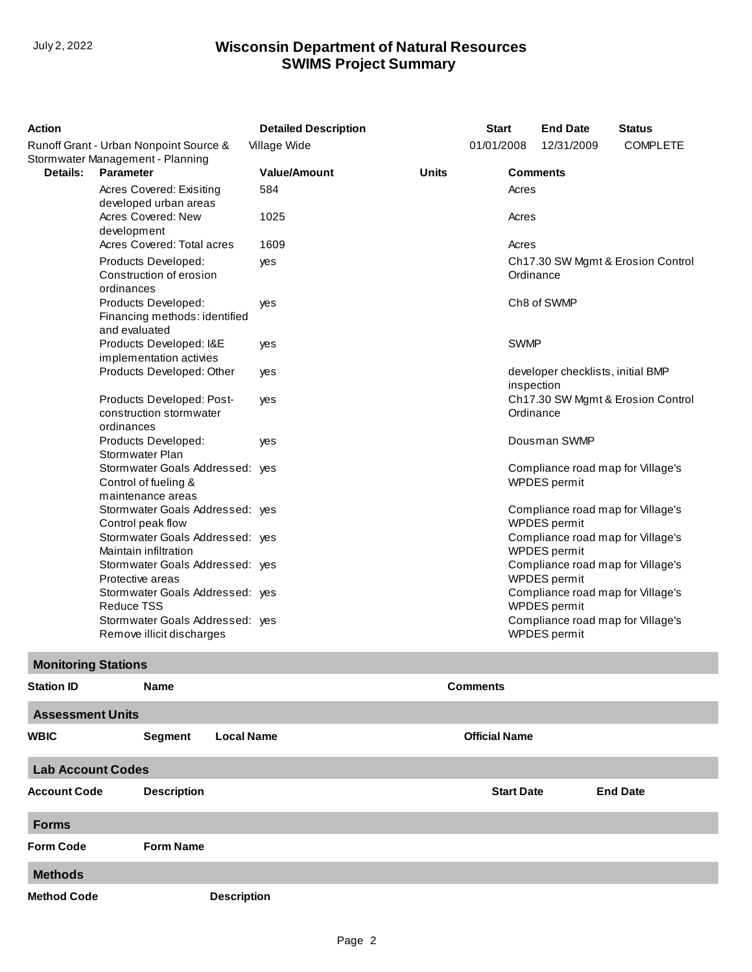## **SWIMS Project Summary** July 2, 2022 **Wisconsin Department of Natural Resources**

| <b>Action</b>                                                              |                                                                              | <b>Detailed Description</b> |              | <b>Start</b><br><b>End Date</b> |                                                   | <b>Status</b>       |                                   |
|----------------------------------------------------------------------------|------------------------------------------------------------------------------|-----------------------------|--------------|---------------------------------|---------------------------------------------------|---------------------|-----------------------------------|
| Runoff Grant - Urban Nonpoint Source &<br>Stormwater Management - Planning |                                                                              | Village Wide                |              | 01/01/2008                      |                                                   | 12/31/2009          | <b>COMPLETE</b>                   |
| Details:<br><b>Parameter</b>                                               |                                                                              | <b>Value/Amount</b>         | <b>Units</b> |                                 |                                                   | <b>Comments</b>     |                                   |
|                                                                            | Acres Covered: Exisiting<br>developed urban areas                            | 584                         |              |                                 | Acres                                             |                     |                                   |
|                                                                            | Acres Covered: New<br>development                                            | 1025                        |              |                                 | Acres                                             |                     |                                   |
|                                                                            | Acres Covered: Total acres                                                   | 1609                        |              |                                 | Acres                                             |                     |                                   |
|                                                                            | Products Developed:<br>Construction of erosion<br>ordinances                 | yes                         |              |                                 | Ordinance                                         |                     | Ch17.30 SW Mgmt & Erosion Control |
|                                                                            | Products Developed:<br>Financing methods: identified<br>and evaluated        | yes                         |              |                                 |                                                   | Ch8 of SWMP         |                                   |
|                                                                            | Products Developed: I&E<br>implementation activies                           | yes                         |              |                                 | <b>SWMP</b>                                       |                     |                                   |
|                                                                            | Products Developed: Other                                                    | yes                         |              |                                 | inspection                                        |                     | developer checklists, initial BMP |
|                                                                            | Products Developed: Post-<br>construction stormwater<br>ordinances           | yes                         |              |                                 | Ordinance                                         |                     | Ch17.30 SW Mgmt & Erosion Control |
|                                                                            | Products Developed:<br>Stormwater Plan                                       | yes                         |              |                                 |                                                   | Dousman SWMP        |                                   |
|                                                                            | Stormwater Goals Addressed: yes<br>Control of fueling &<br>maintenance areas |                             |              |                                 |                                                   | WPDES permit        | Compliance road map for Village's |
|                                                                            | Stormwater Goals Addressed: yes<br>Control peak flow                         |                             |              |                                 |                                                   | WPDES permit        | Compliance road map for Village's |
|                                                                            | Stormwater Goals Addressed: yes<br>Maintain infiltration                     |                             |              |                                 |                                                   | <b>WPDES</b> permit | Compliance road map for Village's |
|                                                                            | Stormwater Goals Addressed: yes<br>Protective areas                          |                             |              |                                 |                                                   | WPDES permit        | Compliance road map for Village's |
|                                                                            | Stormwater Goals Addressed: yes<br><b>Reduce TSS</b>                         |                             |              |                                 |                                                   | <b>WPDES</b> permit | Compliance road map for Village's |
| Stormwater Goals Addressed: yes<br>Remove illicit discharges               |                                                                              |                             |              |                                 | Compliance road map for Village's<br>WPDES permit |                     |                                   |
| <b>Monitoring Stations</b>                                                 |                                                                              |                             |              |                                 |                                                   |                     |                                   |
| <b>Station ID</b>                                                          | Name                                                                         |                             |              | <b>Comments</b>                 |                                                   |                     |                                   |
| <b>Assessment Units</b>                                                    |                                                                              |                             |              |                                 |                                                   |                     |                                   |
| <b>WBIC</b>                                                                | <b>Local Name</b><br><b>Segment</b>                                          |                             |              | <b>Official Name</b>            |                                                   |                     |                                   |
| <b>Lab Account Codes</b>                                                   |                                                                              |                             |              |                                 |                                                   |                     |                                   |
| <b>Account Code</b>                                                        | <b>Description</b>                                                           |                             |              |                                 | <b>Start Date</b>                                 |                     | <b>End Date</b>                   |
| <b>Forms</b>                                                               |                                                                              |                             |              |                                 |                                                   |                     |                                   |
| <b>Form Code</b>                                                           | <b>Form Name</b>                                                             |                             |              |                                 |                                                   |                     |                                   |
| <b>Methods</b>                                                             |                                                                              |                             |              |                                 |                                                   |                     |                                   |
| <b>Method Code</b>                                                         | <b>Description</b>                                                           |                             |              |                                 |                                                   |                     |                                   |